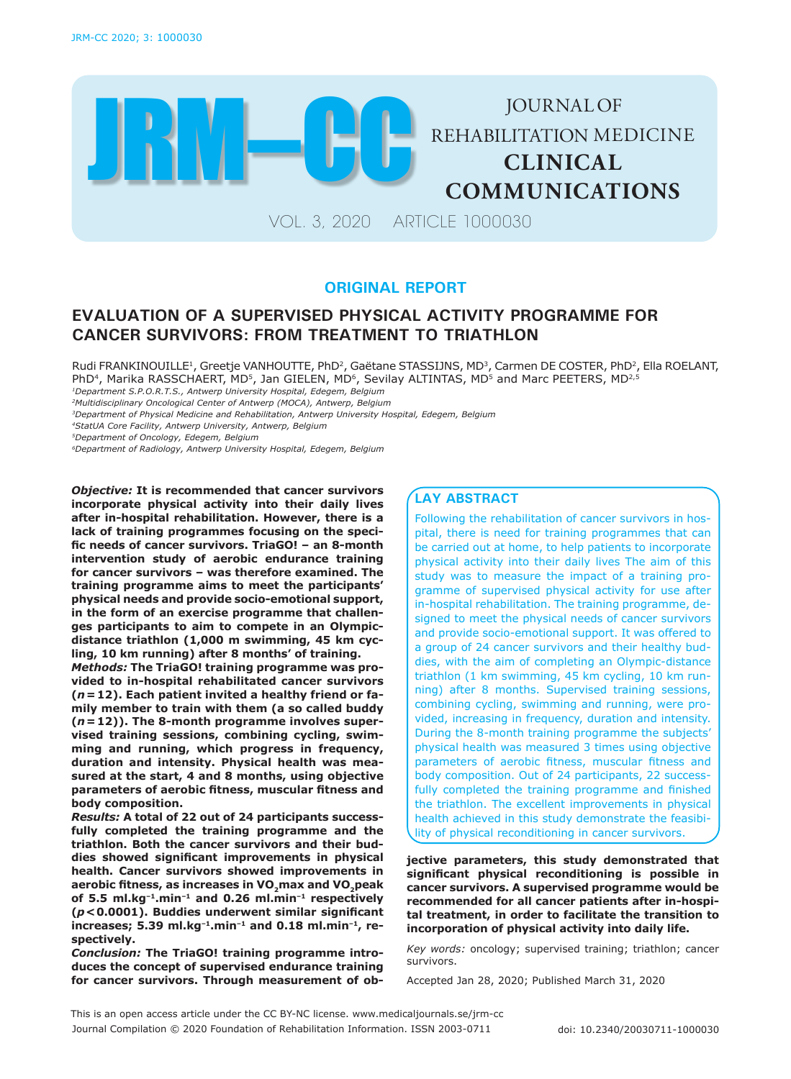

# **ORIGINAL REPORT**

# **EVALUATION OF A SUPERVISED PHYSICAL ACTIVITY PROGRAMME FOR CANCER SURVIVORS: FROM TREATMENT TO TRIATHLON**

Rudi FRANKINOUILLE<sup>1</sup>, Greetje VANHOUTTE, PhD<sup>2</sup>, Gaëtane STASSIJNS, MD<sup>3</sup>, Carmen DE COSTER, PhD<sup>2</sup>, Ella ROELANT, PhD<sup>4</sup>, Marika RASSCHAERT, MD<sup>5</sup>, Jan GIELEN, MD<sup>6</sup>, Sevilay ALTINTAS, MD<sup>5</sup> and Marc PEETERS, MD<sup>2,5</sup>

*1Department S.P.O.R.T.S., Antwerp University Hospital, Edegem, Belgium*

*2Multidisciplinary Oncological Center of Antwerp (MOCA), Antwerp, Belgium*

*3Department of Physical Medicine and Rehabilitation, Antwerp University Hospital, Edegem, Belgium*

*4StatUA Core Facility, Antwerp University, Antwerp, Belgium*

*5Department of Oncology, Edegem, Belgium* 

*6Department of Radiology, Antwerp University Hospital, Edegem, Belgium*

*Objective:* **It is recommended that cancer survivors incorporate physical activity into their daily lives after in-hospital rehabilitation. However, there is a lack of training programmes focusing on the specific needs of cancer survivors. TriaGO! – an 8-month intervention study of aerobic endurance training for cancer survivors – was therefore examined. The training programme aims to meet the participants' physical needs and provide socio-emotional support, in the form of an exercise programme that challenges participants to aim to compete in an Olympicdistance triathlon (1,000 m swimming, 45 km cycling, 10 km running) after 8 months' of training.** 

*Methods:* **The TriaGO! training programme was provided to in-hospital rehabilitated cancer survivors (***n***=12). Each patient invited a healthy friend or family member to train with them (a so called buddy (***n***=12)). The 8-month programme involves supervised training sessions, combining cycling, swimming and running, which progress in frequency, duration and intensity. Physical health was measured at the start, 4 and 8 months, using objective parameters of aerobic fitness, muscular fitness and body composition.** 

*Results:* **A total of 22 out of 24 participants successfully completed the training programme and the triathlon. Both the cancer survivors and their buddies showed significant improvements in physical health. Cancer survivors showed improvements in aerobic fitness, as increases in VO2max and VO2peak of 5.5 ml.kg–1.min–1 and 0.26 ml.min–1 respectively (***p***<0.0001). Buddies underwent similar significant increases; 5.39 ml.kg–1.min–1 and 0.18 ml.min–1, respectively.** 

*Conclusion:* **The TriaGO! training programme introduces the concept of supervised endurance training for cancer survivors. Through measurement of ob-**

# **LAY ABSTRACT**

Following the rehabilitation of cancer survivors in hospital, there is need for training programmes that can be carried out at home, to help patients to incorporate physical activity into their daily lives The aim of this study was to measure the impact of a training programme of supervised physical activity for use after in-hospital rehabilitation. The training programme, designed to meet the physical needs of cancer survivors and provide socio-emotional support. It was offered to a group of 24 cancer survivors and their healthy buddies, with the aim of completing an Olympic-distance triathlon (1 km swimming, 45 km cycling, 10 km running) after 8 months. Supervised training sessions, combining cycling, swimming and running, were provided, increasing in frequency, duration and intensity. During the 8-month training programme the subjects' physical health was measured 3 times using objective parameters of aerobic fitness, muscular fitness and body composition. Out of 24 participants, 22 successfully completed the training programme and finished the triathlon. The excellent improvements in physical health achieved in this study demonstrate the feasibility of physical reconditioning in cancer survivors.

**jective parameters, this study demonstrated that significant physical reconditioning is possible in cancer survivors. A supervised programme would be recommended for all cancer patients after in-hospital treatment, in order to facilitate the transition to incorporation of physical activity into daily life.** 

*Key words:* oncology; supervised training; triathlon; cancer survivors.

Accepted Jan 28, 2020; Published March 31, 2020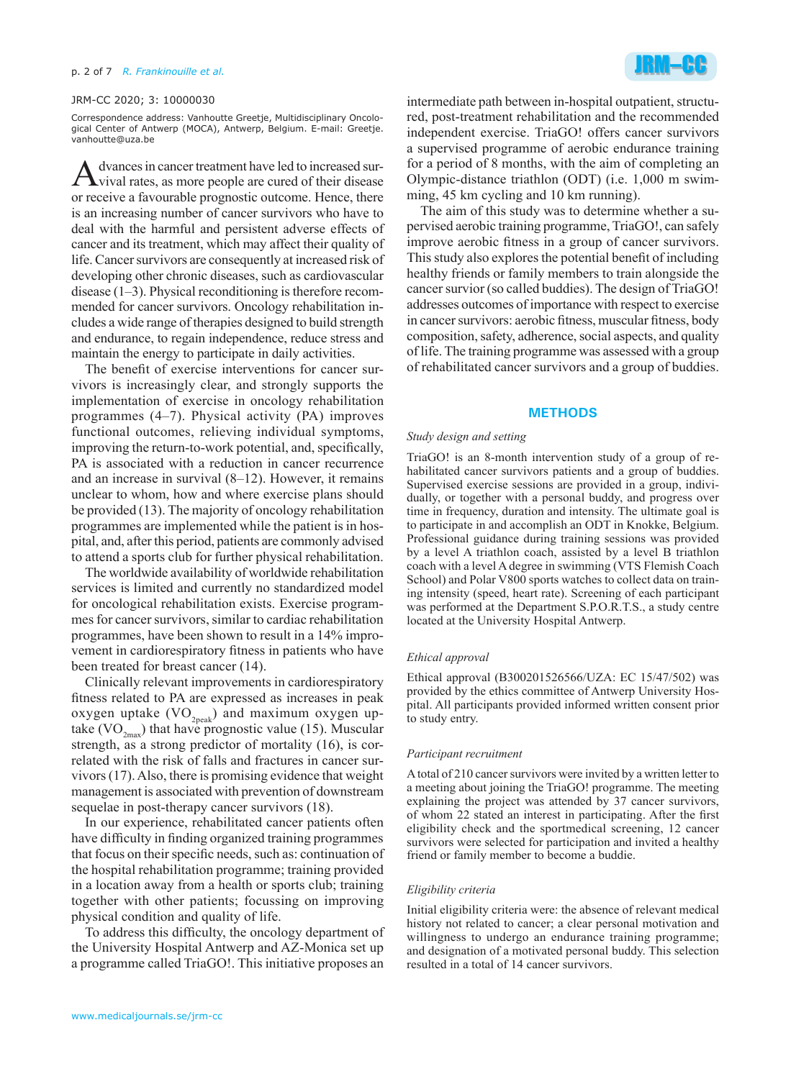### JRM-CC 2020; 3: 10000030

Correspondence address: Vanhoutte Greetje, Multidisciplinary Oncological Center of Antwerp (MOCA), Antwerp, Belgium. E-mail: Greetje. vanhoutte@uza.be

A dvances in cancer treatment have led to increased sur-<br>vival rates, as more people are cured of their disease or receive a favourable prognostic outcome. Hence, there is an increasing number of cancer survivors who have to deal with the harmful and persistent adverse effects of cancer and its treatment, which may affect their quality of life. Cancer survivors are consequently at increased risk of developing other chronic diseases, such as cardiovascular disease (1–3). Physical reconditioning is therefore recommended for cancer survivors. Oncology rehabilitation includes a wide range of therapies designed to build strength and endurance, to regain independence, reduce stress and maintain the energy to participate in daily activities.

The benefit of exercise interventions for cancer survivors is increasingly clear, and strongly supports the implementation of exercise in oncology rehabilitation programmes (4–7). Physical activity (PA) improves functional outcomes, relieving individual symptoms, improving the return-to-work potential, and, specifically, PA is associated with a reduction in cancer recurrence and an increase in survival (8–12). However, it remains unclear to whom, how and where exercise plans should be provided (13). The majority of oncology rehabilitation programmes are implemented while the patient is in hospital, and, after this period, patients are commonly advised to attend a sports club for further physical rehabilitation.

The worldwide availability of worldwide rehabilitation services is limited and currently no standardized model for oncological rehabilitation exists. Exercise programmes for cancer survivors, similar to cardiac rehabilitation programmes, have been shown to result in a 14% improvement in cardiorespiratory fitness in patients who have been treated for breast cancer (14).

Clinically relevant improvements in cardiorespiratory fitness related to PA are expressed as increases in peak oxygen uptake  $(VO_{2peak})$  and maximum oxygen uptake (VO<sub>2max</sub>) that have prognostic value (15). Muscular strength, as a strong predictor of mortality (16), is correlated with the risk of falls and fractures in cancer survivors (17). Also, there is promising evidence that weight management is associated with prevention of downstream sequelae in post-therapy cancer survivors (18).

In our experience, rehabilitated cancer patients often have difficulty in finding organized training programmes that focus on their specific needs, such as: continuation of the hospital rehabilitation programme; training provided in a location away from a health or sports club; training together with other patients; focussing on improving physical condition and quality of life.

To address this difficulty, the oncology department of the University Hospital Antwerp and AZ-Monica set up a programme called TriaGO!. This initiative proposes an



intermediate path between in-hospital outpatient, structured, post-treatment rehabilitation and the recommended independent exercise. TriaGO! offers cancer survivors a supervised programme of aerobic endurance training for a period of 8 months, with the aim of completing an Olympic-distance triathlon (ODT) (i.e. 1,000 m swimming, 45 km cycling and 10 km running).

The aim of this study was to determine whether a supervised aerobic training programme, TriaGO!, can safely improve aerobic fitness in a group of cancer survivors. This study also explores the potential benefit of including healthy friends or family members to train alongside the cancer survior (so called buddies). The design of TriaGO! addresses outcomes of importance with respect to exercise in cancer survivors: aerobic fitness, muscular fitness, body composition, safety, adherence, social aspects, and quality of life. The training programme was assessed with a group of rehabilitated cancer survivors and a group of buddies.

### **METHODS**

# *Study design and setting*

TriaGO! is an 8-month intervention study of a group of rehabilitated cancer survivors patients and a group of buddies. Supervised exercise sessions are provided in a group, individually, or together with a personal buddy, and progress over time in frequency, duration and intensity. The ultimate goal is to participate in and accomplish an ODT in Knokke, Belgium. Professional guidance during training sessions was provided by a level A triathlon coach, assisted by a level B triathlon coach with a level A degree in swimming (VTS Flemish Coach School) and Polar V800 sports watches to collect data on training intensity (speed, heart rate). Screening of each participant was performed at the Department S.P.O.R.T.S., a study centre located at the University Hospital Antwerp.

### *Ethical approval*

Ethical approval (B300201526566/UZA: EC 15/47/502) was provided by the ethics committee of Antwerp University Hospital. All participants provided informed written consent prior to study entry.

#### *Participant recruitment*

A total of 210 cancer survivors were invited by a written letter to a meeting about joining the TriaGO! programme. The meeting explaining the project was attended by 37 cancer survivors, of whom 22 stated an interest in participating. After the first eligibility check and the sportmedical screening, 12 cancer survivors were selected for participation and invited a healthy friend or family member to become a buddie.

#### *Eligibility criteria*

Initial eligibility criteria were: the absence of relevant medical history not related to cancer; a clear personal motivation and willingness to undergo an endurance training programme; and designation of a motivated personal buddy. This selection resulted in a total of 14 cancer survivors.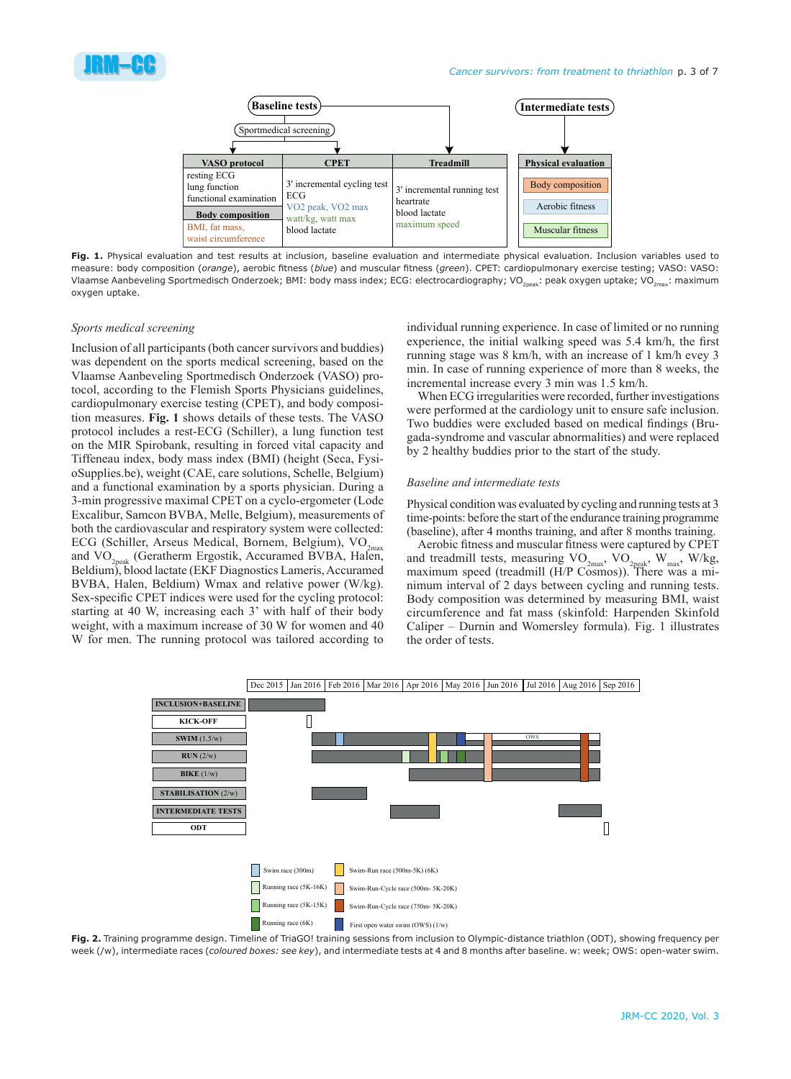



**Fig. 1.** Physical evaluation and test results at inclusion, baseline evaluation and intermediate physical evaluation. Inclusion variables used to measure: body composition (*orange*), aerobic fitness (*blue*) and muscular fitness (*green*). CPET: cardiopulmonary exercise testing; VASO: VASO: Vlaamse Aanbeveling Sportmedisch Onderzoek; BMI: body mass index; ECG: electrocardiography; VO<sub>20084</sub>: peak oxygen uptake; VO<sub>2max</sub>: maximum oxygen uptake.

## *Sports medical screening*

Inclusion of all participants (both cancer survivors and buddies) was dependent on the sports medical screening, based on the Vlaamse Aanbeveling Sportmedisch Onderzoek (VASO) protocol, according to the Flemish Sports Physicians guidelines, cardiopulmonary exercise testing (CPET), and body composition measures. **Fig. 1** shows details of these tests. The VASO protocol includes a rest-ECG (Schiller), a lung function test on the MIR Spirobank, resulting in forced vital capacity and Tiffeneau index, body mass index (BMI) (height (Seca, FysioSupplies.be), weight (CAE, care solutions, Schelle, Belgium) and a functional examination by a sports physician. During a 3-min progressive maximal CPET on a cyclo-ergometer (Lode Excalibur, Samcon BVBA, Melle, Belgium), measurements of both the cardiovascular and respiratory system were collected: ECG (Schiller, Arseus Medical, Bornem, Belgium),  $VO_{2max}$ and VO<sub>2peak</sub> (Geratherm Ergostik, Accuramed BVBA, Halen, Beldium), blood lactate (EKF Diagnostics Lameris, Accuramed BVBA, Halen, Beldium) Wmax and relative power (W/kg). Sex-specific CPET indices were used for the cycling protocol: starting at 40 W, increasing each 3' with half of their body weight, with a maximum increase of 30 W for women and 40 W for men. The running protocol was tailored according to individual running experience. In case of limited or no running experience, the initial walking speed was 5.4 km/h, the first running stage was 8 km/h, with an increase of 1 km/h evey 3 min. In case of running experience of more than 8 weeks, the incremental increase every 3 min was 1.5 km/h.

When ECG irregularities were recorded, further investigations were performed at the cardiology unit to ensure safe inclusion. Two buddies were excluded based on medical findings (Brugada-syndrome and vascular abnormalities) and were replaced by 2 healthy buddies prior to the start of the study.

## *Baseline and intermediate tests*

Physical condition was evaluated by cycling and running tests at 3 time-points: before the start of the endurance training programme (baseline), after 4 months training, and after 8 months training.

Aerobic fitness and muscular fitness were captured by CPET and treadmill tests, measuring  $VO_{2max}$ ,  $VO_{2peak}$ ,  $W_{max}$ ,  $W/kg$ , maximum speed (treadmill (H/P Cosmos)). There was a minimum interval of 2 days between cycling and running tests. Body composition was determined by measuring BMI, waist circumference and fat mass (skinfold: Harpenden Skinfold Caliper – Durnin and Womersley formula). Fig. 1 illustrates the order of tests.



Fig. 2. Training programme design. Timeline of TriaGO! training sessions from inclusion to Olympic-distance triathlon (ODT), showing frequency per week (/w), intermediate races (*coloured boxes: see key*), and intermediate tests at 4 and 8 months after baseline. w: week; OWS: open-water swim.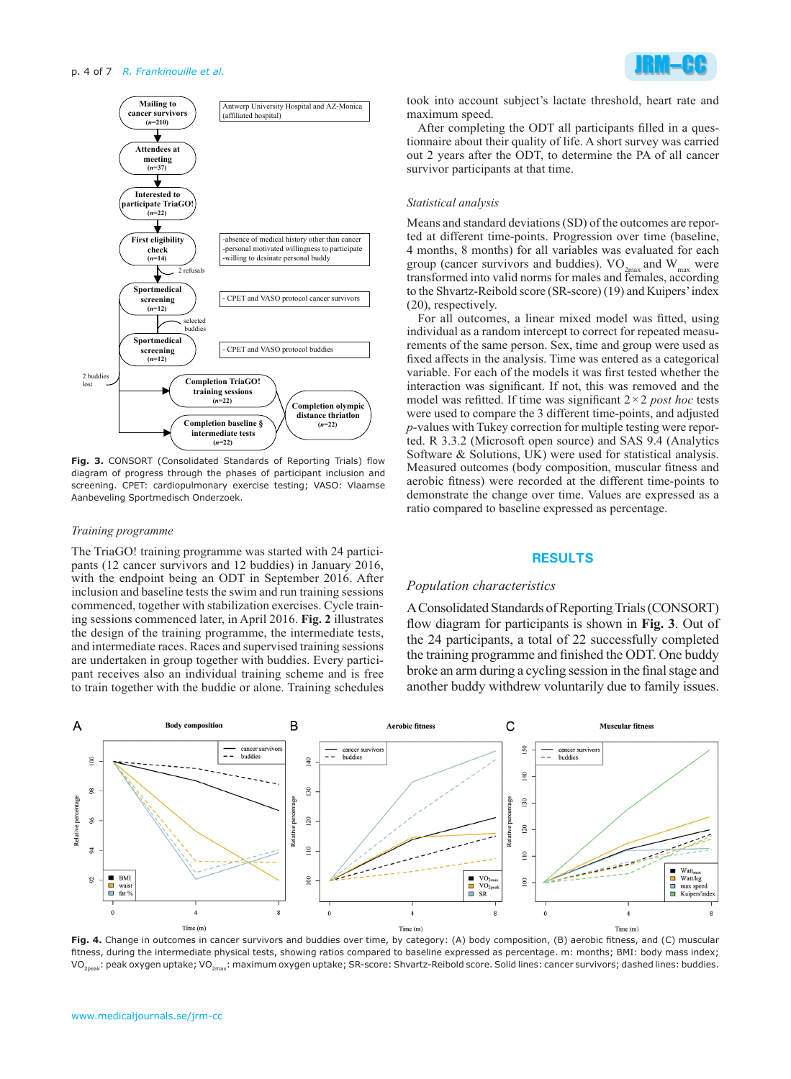#### p. 4 of 7 *R. Frankinouille et al.*



**Fig. 3.** CONSORT (Consolidated Standards of Reporting Trials) flow diagram of progress through the phases of participant inclusion and screening. CPET: cardiopulmonary exercise testing; VASO: Vlaamse Aanbeveling Sportmedisch Onderzoek.

#### *Training programme*

The TriaGO! training programme was started with 24 participants (12 cancer survivors and 12 buddies) in January 2016, with the endpoint being an ODT in September 2016. After inclusion and baseline tests the swim and run training sessions commenced, together with stabilization exercises. Cycle training sessions commenced later, in April 2016. **Fig. 2** illustrates the design of the training programme, the intermediate tests, and intermediate races. Races and supervised training sessions are undertaken in group together with buddies. Every participant receives also an individual training scheme and is free to train together with the buddie or alone. Training schedules



took into account subject's lactate threshold, heart rate and maximum speed.

After completing the ODT all participants filled in a questionnaire about their quality of life. A short survey was carried out 2 years after the ODT, to determine the PA of all cancer survivor participants at that time.

### *Statistical analysis*

Means and standard deviations (SD) of the outcomes are reported at different time-points. Progression over time (baseline, 4 months, 8 months) for all variables was evaluated for each group (cancer survivors and buddies).  $VO_{2max}$  and  $W_{max}$  were transformed into valid norms for males and females, according to the Shvartz-Reibold score (SR-score) (19) and Kuipers' index (20), respectively.

For all outcomes, a linear mixed model was fitted, using individual as a random intercept to correct for repeated measurements of the same person. Sex, time and group were used as fixed affects in the analysis. Time was entered as a categorical variable. For each of the models it was first tested whether the interaction was significant. If not, this was removed and the model was refitted. If time was significant 2×2 *post hoc* tests were used to compare the 3 different time-points, and adjusted *p*-values with Tukey correction for multiple testing were reported. R 3.3.2 (Microsoft open source) and SAS 9.4 (Analytics Software & Solutions, UK) were used for statistical analysis. Measured outcomes (body composition, muscular fitness and aerobic fitness) were recorded at the different time-points to demonstrate the change over time. Values are expressed as a ratio compared to baseline expressed as percentage.

# **RESULTS**

### *Population characteristics*

A Consolidated Standards of Reporting Trials (CONSORT) flow diagram for participants is shown in **Fig. 3**. Out of the 24 participants, a total of 22 successfully completed the training programme and finished the ODT. One buddy broke an arm during a cycling session in the final stage and another buddy withdrew voluntarily due to family issues.



**Fig. 4.** Change in outcomes in cancer survivors and buddies over time, by category: (A) body composition, (B) aerobic fitness, and (C) muscular fitness, during the intermediate physical tests, showing ratios compared to baseline expressed as percentage. m: months; BMI: body mass index; VO<sub>2peak</sub>: peak oxygen uptake; VO<sub>2max</sub>: maximum oxygen uptake; SR-score: Shvartz-Reibold score. Solid lines: cancer survivors; dashed lines: buddies.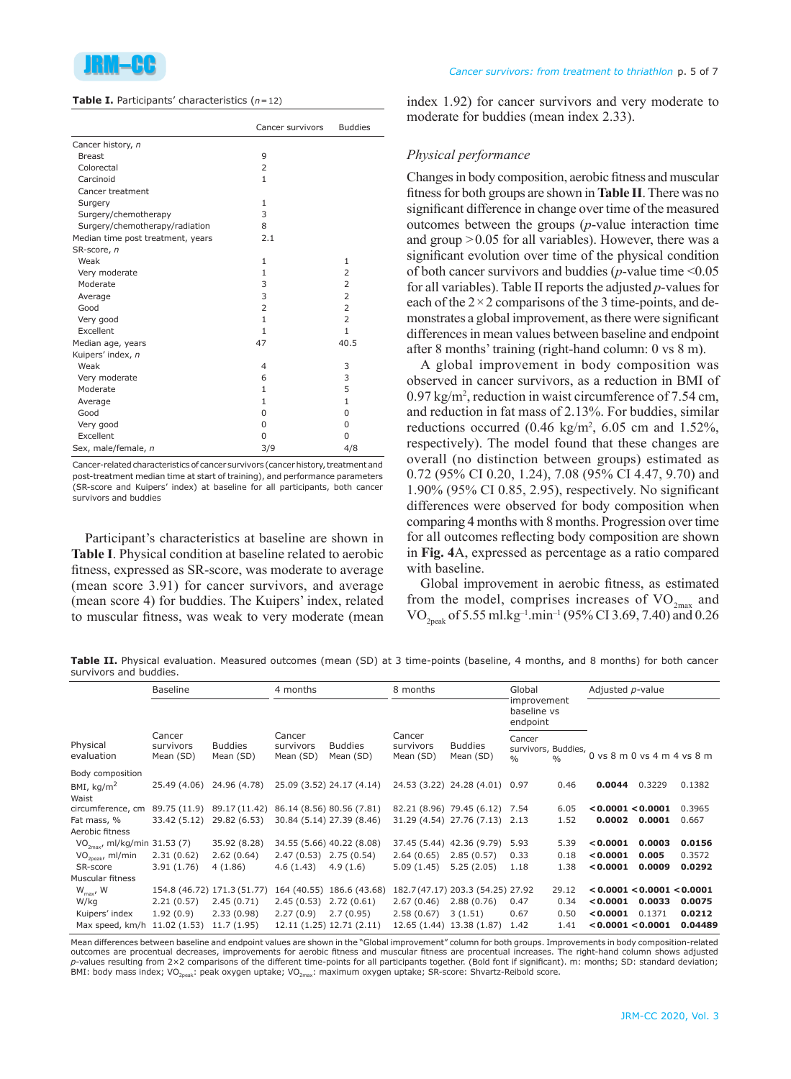

| <b>Table I.</b> Participants' characteristics $(n=12)$ |  |  |
|--------------------------------------------------------|--|--|
|--------------------------------------------------------|--|--|

|                                   | Cancer survivors | <b>Buddies</b> |  |  |
|-----------------------------------|------------------|----------------|--|--|
| Cancer history, n                 |                  |                |  |  |
| <b>Breast</b>                     | 9                |                |  |  |
| Colorectal                        | $\overline{2}$   |                |  |  |
| Carcinoid                         | $\mathbf{1}$     |                |  |  |
| Cancer treatment                  |                  |                |  |  |
| Surgery                           | 1                |                |  |  |
| Surgery/chemotherapy              | 3                |                |  |  |
| Surgery/chemotherapy/radiation    | 8                |                |  |  |
| Median time post treatment, years | 2.1              |                |  |  |
| SR-score, n                       |                  |                |  |  |
| Weak                              | $\mathbf{1}$     | 1              |  |  |
| Very moderate                     | 1                | 2              |  |  |
| Moderate                          | 3                | $\overline{2}$ |  |  |
| Average                           | 3                | $\overline{2}$ |  |  |
| Good                              | 2                | $\overline{2}$ |  |  |
| Very good                         | $\mathbf{1}$     | $\overline{2}$ |  |  |
| Excellent                         | $\mathbf{1}$     | $\mathbf{1}$   |  |  |
| Median age, years                 | 47               | 40.5           |  |  |
| Kuipers' index, n                 |                  |                |  |  |
| Weak                              | $\overline{4}$   | 3              |  |  |
| Very moderate                     | 6                | 3              |  |  |
| Moderate                          | 1                | 5              |  |  |
| Average                           | $\mathbf{1}$     | $\mathbf{1}$   |  |  |
| Good                              | $\Omega$         | $\Omega$       |  |  |
| Very good                         | $\Omega$         | $\Omega$       |  |  |
| Excellent                         | 0                | 0              |  |  |
| Sex, male/female, n               | 3/9              | 4/8            |  |  |

Cancer-related characteristics of cancer survivors (cancer history, treatment and post-treatment median time at start of training), and performance parameters (SR-score and Kuipers' index) at baseline for all participants, both cancer survivors and buddies

Participant's characteristics at baseline are shown in **Table I**. Physical condition at baseline related to aerobic fitness, expressed as SR-score, was moderate to average (mean score 3.91) for cancer survivors, and average (mean score 4) for buddies. The Kuipers' index, related to muscular fitness, was weak to very moderate (mean index 1.92) for cancer survivors and very moderate to moderate for buddies (mean index 2.33).

## *Physical performance*

Changes in body composition, aerobic fitness and muscular fitness for both groups are shown in **Table II**. There was no significant difference in change over time of the measured outcomes between the groups (*p*-value interaction time and group  $>0.05$  for all variables). However, there was a significant evolution over time of the physical condition of both cancer survivors and buddies (*p*-value time <0.05 for all variables). Table II reports the adjusted *p*-values for each of the  $2 \times 2$  comparisons of the 3 time-points, and demonstrates a global improvement, as there were significant differences in mean values between baseline and endpoint after 8 months' training (right-hand column: 0 vs 8 m).

A global improvement in body composition was observed in cancer survivors, as a reduction in BMI of 0.97 kg/m<sup>2</sup> , reduction in waist circumference of 7.54 cm, and reduction in fat mass of 2.13%. For buddies, similar reductions occurred  $(0.46 \text{ kg/m}^2, 6.05 \text{ cm and } 1.52\%,$ respectively). The model found that these changes are overall (no distinction between groups) estimated as 0.72 (95% CI 0.20, 1.24), 7.08 (95% CI 4.47, 9.70) and 1.90% (95% CI 0.85, 2.95), respectively. No significant differences were observed for body composition when comparing 4 months with 8 months. Progression over time for all outcomes reflecting body composition are shown in **Fig. 4**A, expressed as percentage as a ratio compared with baseline.

Global improvement in aerobic fitness, as estimated from the model, comprises increases of  $VO_{2<sub>max</sub>}$  and VO<sub>2peak</sub> of 5.55 ml.kg<sup>-1</sup>.min<sup>-1</sup> (95% CI 3.69, 7.40) and 0.26

**Table II.** Physical evaluation. Measured outcomes (mean (SD) at 3 time-points (baseline, 4 months, and 8 months) for both cancer survivors and buddies.

|                                          | <b>Baseline</b>                  |                             |                                  | 4 months                    |                                  | 8 months                          |                                                | Global        |                                        | Adjusted p-value |         |  |
|------------------------------------------|----------------------------------|-----------------------------|----------------------------------|-----------------------------|----------------------------------|-----------------------------------|------------------------------------------------|---------------|----------------------------------------|------------------|---------|--|
|                                          |                                  |                             |                                  |                             |                                  |                                   | improvement<br>baseline vs<br>endpoint         |               |                                        |                  |         |  |
| Physical<br>evaluation                   | Cancer<br>survivors<br>Mean (SD) | <b>Buddies</b><br>Mean (SD) | Cancer<br>survivors<br>Mean (SD) | <b>Buddies</b><br>Mean (SD) | Cancer<br>survivors<br>Mean (SD) | <b>Buddies</b><br>Mean (SD)       | Cancer<br>survivors, Buddies,<br>$\frac{0}{0}$ | $\frac{0}{0}$ | $0$ vs $8$ m $0$ vs $4$ m $4$ vs $8$ m |                  |         |  |
| Body composition                         |                                  |                             |                                  |                             |                                  |                                   |                                                |               |                                        |                  |         |  |
| BMI, $kg/m2$                             | 25.49 (4.06)                     | 24.96 (4.78)                |                                  | 25.09 (3.52) 24.17 (4.14)   |                                  | 24.53 (3.22) 24.28 (4.01)         | 0.97                                           | 0.46          | 0.0044                                 | 0.3229           | 0.1382  |  |
| Waist                                    |                                  |                             |                                  |                             |                                  |                                   |                                                |               |                                        |                  |         |  |
| circumference, cm                        |                                  | 89.75 (11.9) 89.17 (11.42)  | 86.14 (8.56) 80.56 (7.81)        |                             |                                  | 82.21 (8.96) 79.45 (6.12)         | 7.54                                           | 6.05          | < 0.0001 < 0.0001                      |                  | 0.3965  |  |
| Fat mass, %                              | 33.42 (5.12)                     | 29.82 (6.53)                |                                  | 30.84 (5.14) 27.39 (8.46)   |                                  | 31.29 (4.54) 27.76 (7.13)         | 2.13                                           | 1.52          | 0.0002                                 | 0.0001           | 0.667   |  |
| Aerobic fitness                          |                                  |                             |                                  |                             |                                  |                                   |                                                |               |                                        |                  |         |  |
| VO <sub>2mav</sub> , ml/kg/min 31.53 (7) |                                  | 35.92 (8.28)                |                                  | 34.55 (5.66) 40.22 (8.08)   |                                  | 37.45 (5.44) 42.36 (9.79)         | 5.93                                           | 5.39          | < 0.0001                               | 0.0003           | 0.0156  |  |
| $VO2peak$ , ml/min                       | 2.31(0.62)                       | 2.62(0.64)                  | 2.47 (0.53) 2.75 (0.54)          |                             | 2.64(0.65)                       | 2.85(0.57)                        | 0.33                                           | 0.18          | < 0.0001                               | 0.005            | 0.3572  |  |
| SR-score                                 | 3.91(1.76)                       | 4(1.86)                     | 4.6(1.43)                        | 4.9(1.6)                    | 5.09(1.45)                       | 5.25(2.05)                        | 1.18                                           | 1.38          | < 0.0001                               | 0.0009           | 0.0292  |  |
| Muscular fitness                         |                                  |                             |                                  |                             |                                  |                                   |                                                |               |                                        |                  |         |  |
| $W_{\text{max}}$ , W                     |                                  | 154.8 (46.72) 171.3 (51.77) |                                  | 164 (40.55) 186.6 (43.68)   |                                  | 182.7 (47.17) 203.3 (54.25) 27.92 |                                                | 29.12         | < 0.0001 < 0.0001 < 0.0001             |                  |         |  |
| W/kg                                     | 2.21(0.57)                       | 2.45(0.71)                  | 2.45(0.53)                       | 2.72(0.61)                  | 2.67(0.46)                       | 2.88(0.76)                        | 0.47                                           | 0.34          | 0.0001                                 | 0.0033           | 0.0075  |  |
| Kuipers' index                           | 1.92(0.9)                        | 2.33(0.98)                  | 2.27(0.9)                        | 2.7(0.95)                   | 2.58(0.67)                       | 3(1.51)                           | 0.67                                           | 0.50          | < 0.0001                               | 0.1371           | 0.0212  |  |
| Max speed, km/h                          | 11.02 (1.53)                     | 11.7(1.95)                  |                                  | 12.11 (1.25) 12.71 (2.11)   |                                  | 12.65 (1.44) 13.38 (1.87)         | 1.42                                           | 1.41          | < 0.0001 < 0.0001                      |                  | 0.04489 |  |

Mean differences between baseline and endpoint values are shown in the "Global improvement" column for both groups. Improvements in body composition-related outcomes are procentual decreases, improvements for aerobic fitness and muscular fitness are procentual increases. The right-hand column shows adjusted *p*-values resulting from 2×2 comparisons of the different time-points for all participants together. (Bold font if significant). m: months; SD: standard deviation; BMI: body mass index; VO<sub>2peak</sub>: peak oxygen uptake; VO<sub>2max</sub>: maximum oxygen uptake; SR-score: Shvartz-Reibold score.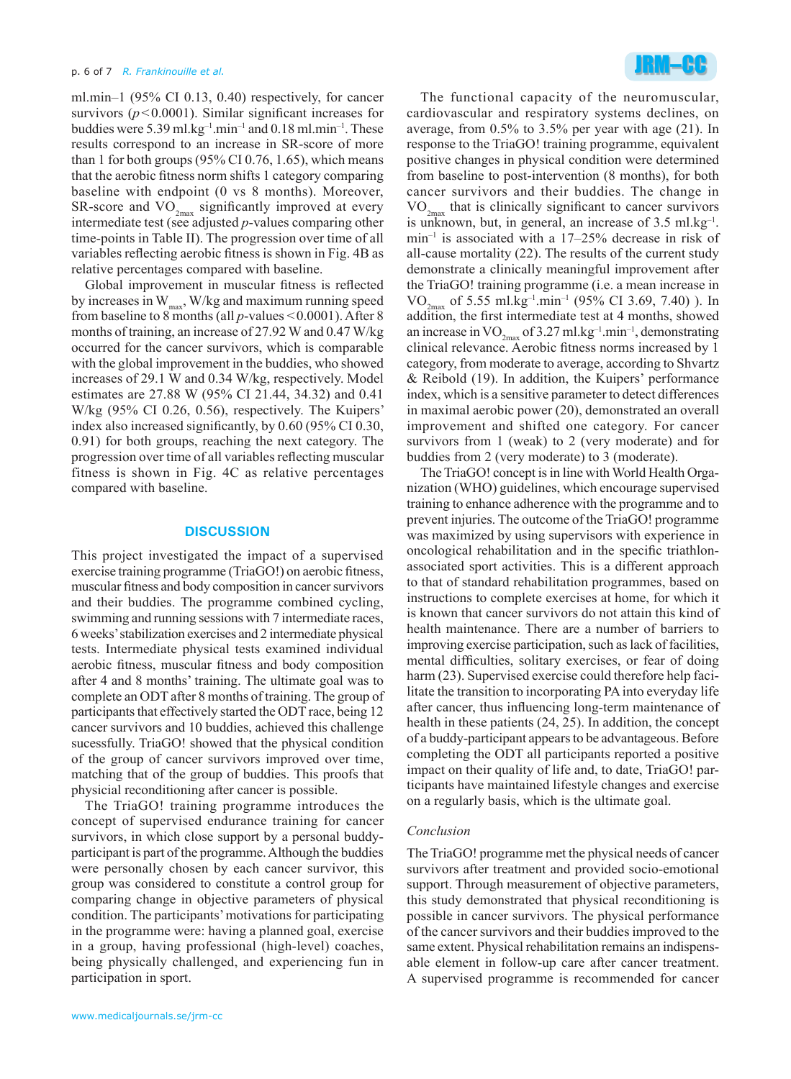ml.min–1 (95% CI 0.13, 0.40) respectively, for cancer survivors  $(p<0.0001)$ . Similar significant increases for buddies were 5.39 ml.kg<sup>-1</sup>.min<sup>-1</sup> and 0.18 ml.min<sup>-1</sup>. These results correspond to an increase in SR-score of more than 1 for both groups  $(95\% \text{ CI } 0.76, 1.65)$ , which means that the aerobic fitness norm shifts 1 category comparing baseline with endpoint (0 vs 8 months). Moreover, SR-score and  $VO_{2max}$  significantly improved at every intermediate test (see adjusted *p*-values comparing other time-points in Table II). The progression over time of all variables reflecting aerobic fitness is shown in Fig. 4B as relative percentages compared with baseline.

Global improvement in muscular fitness is reflected by increases in  $W_{\text{max}}$ , W/kg and maximum running speed from baseline to 8 months (all *p*-values <0.0001). After 8 months of training, an increase of 27.92 W and 0.47 W/kg occurred for the cancer survivors, which is comparable with the global improvement in the buddies, who showed increases of 29.1 W and 0.34 W/kg, respectively. Model estimates are 27.88 W (95% CI 21.44, 34.32) and 0.41 W/kg (95% CI 0.26, 0.56), respectively. The Kuipers' index also increased significantly, by 0.60 (95% CI 0.30, 0.91) for both groups, reaching the next category. The progression over time of all variables reflecting muscular fitness is shown in Fig. 4C as relative percentages compared with baseline.

### **DISCUSSION**

This project investigated the impact of a supervised exercise training programme (TriaGO!) on aerobic fitness, muscular fitness and body composition in cancer survivors and their buddies. The programme combined cycling, swimming and running sessions with 7 intermediate races, 6 weeks' stabilization exercises and 2 intermediate physical tests. Intermediate physical tests examined individual aerobic fitness, muscular fitness and body composition after 4 and 8 months' training. The ultimate goal was to complete an ODT after 8 months of training. The group of participants that effectively started the ODT race, being 12 cancer survivors and 10 buddies, achieved this challenge sucessfully. TriaGO! showed that the physical condition of the group of cancer survivors improved over time, matching that of the group of buddies. This proofs that physicial reconditioning after cancer is possible.

The TriaGO! training programme introduces the concept of supervised endurance training for cancer survivors, in which close support by a personal buddyparticipant is part of the programme. Although the buddies were personally chosen by each cancer survivor, this group was considered to constitute a control group for comparing change in objective parameters of physical condition. The participants' motivations for participating in the programme were: having a planned goal, exercise in a group, having professional (high-level) coaches, being physically challenged, and experiencing fun in participation in sport.



The functional capacity of the neuromuscular, cardiovascular and respiratory systems declines, on average, from 0.5% to 3.5% per year with age (21). In response to the TriaGO! training programme, equivalent positive changes in physical condition were determined from baseline to post-intervention (8 months), for both cancer survivors and their buddies. The change in  $VO_{2<sub>max</sub>}$  that is clinically significant to cancer survivors is unknown, but, in general, an increase of  $3.5 \text{ ml} \text{ kg}^{-1}$ .  $min^{-1}$  is associated with a 17–25% decrease in risk of all-cause mortality (22). The results of the current study demonstrate a clinically meaningful improvement after the TriaGO! training programme (i.e. a mean increase in  $VO_{2\text{max}}$  of 5.55 ml.kg<sup>-1</sup>.min<sup>-1</sup> (95% CI 3.69, 7.40)). In addition, the first intermediate test at 4 months, showed an increase in  $VO_{2m}$  of 3.27 ml.kg<sup>-1</sup>.min<sup>-1</sup>, demonstrating clinical relevance. Aerobic fitness norms increased by 1 category, from moderate to average, according to Shvartz & Reibold (19). In addition, the Kuipers' performance index, which is a sensitive parameter to detect differences in maximal aerobic power (20), demonstrated an overall improvement and shifted one category. For cancer survivors from 1 (weak) to 2 (very moderate) and for buddies from 2 (very moderate) to 3 (moderate).

The TriaGO! concept is in line with World Health Organization (WHO) guidelines, which encourage supervised training to enhance adherence with the programme and to prevent injuries. The outcome of the TriaGO! programme was maximized by using supervisors with experience in oncological rehabilitation and in the specific triathlonassociated sport activities. This is a different approach to that of standard rehabilitation programmes, based on instructions to complete exercises at home, for which it is known that cancer survivors do not attain this kind of health maintenance. There are a number of barriers to improving exercise participation, such as lack of facilities, mental difficulties, solitary exercises, or fear of doing harm (23). Supervised exercise could therefore help facilitate the transition to incorporating PA into everyday life after cancer, thus influencing long-term maintenance of health in these patients (24, 25). In addition, the concept of a buddy-participant appears to be advantageous. Before completing the ODT all participants reported a positive impact on their quality of life and, to date, TriaGO! participants have maintained lifestyle changes and exercise on a regularly basis, which is the ultimate goal.

### *Conclusion*

The TriaGO! programme met the physical needs of cancer survivors after treatment and provided socio-emotional support. Through measurement of objective parameters, this study demonstrated that physical reconditioning is possible in cancer survivors. The physical performance of the cancer survivors and their buddies improved to the same extent. Physical rehabilitation remains an indispensable element in follow-up care after cancer treatment. A supervised programme is recommended for cancer